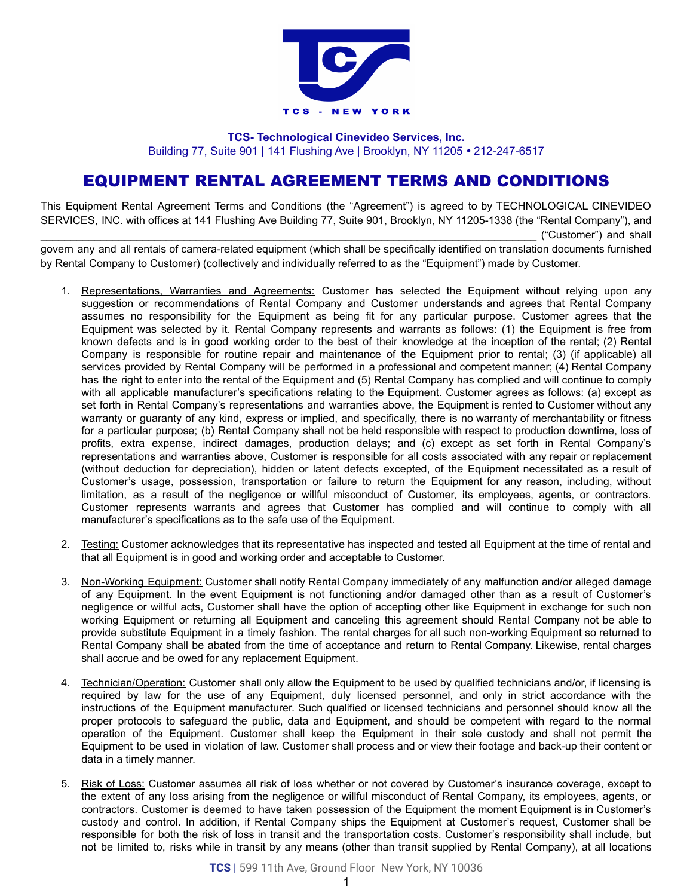

**TCS- Technological Cinevideo Services, Inc.** Building 77, Suite 901 | 141 Flushing Ave | Brooklyn, NY 11205 **•** 212-247-6517

## EQUIPMENT RENTAL AGREEMENT TERMS AND CONDITIONS

This Equipment Rental Agreement Terms and Conditions (the "Agreement") is agreed to by TECHNOLOGICAL CINEVIDEO SERVICES, INC. with offices at 141 Flushing Ave Building 77, Suite 901, Brooklyn, NY 11205-1338 (the "Rental Company"), and \_\_\_\_\_\_\_\_\_\_\_\_\_\_\_\_\_\_\_\_\_\_\_\_\_\_\_\_\_\_\_\_\_\_\_\_\_\_\_\_\_\_\_\_\_\_\_\_\_\_\_\_\_\_\_\_\_\_\_\_\_\_\_\_\_\_\_\_\_\_\_\_\_\_\_\_\_\_\_\_\_\_\_ ("Customer") and shall

govern any and all rentals of camera-related equipment (which shall be specifically identified on translation documents furnished by Rental Company to Customer) (collectively and individually referred to as the "Equipment") made by Customer.

- 1. Representations, Warranties and Agreements: Customer has selected the Equipment without relying upon any suggestion or recommendations of Rental Company and Customer understands and agrees that Rental Company assumes no responsibility for the Equipment as being fit for any particular purpose. Customer agrees that the Equipment was selected by it. Rental Company represents and warrants as follows: (1) the Equipment is free from known defects and is in good working order to the best of their knowledge at the inception of the rental; (2) Rental Company is responsible for routine repair and maintenance of the Equipment prior to rental; (3) (if applicable) all services provided by Rental Company will be performed in a professional and competent manner; (4) Rental Company has the right to enter into the rental of the Equipment and (5) Rental Company has complied and will continue to comply with all applicable manufacturer's specifications relating to the Equipment. Customer agrees as follows: (a) except as set forth in Rental Company's representations and warranties above, the Equipment is rented to Customer without any warranty or guaranty of any kind, express or implied, and specifically, there is no warranty of merchantability or fitness for a particular purpose; (b) Rental Company shall not be held responsible with respect to production downtime, loss of profits, extra expense, indirect damages, production delays; and (c) except as set forth in Rental Company's representations and warranties above, Customer is responsible for all costs associated with any repair or replacement (without deduction for depreciation), hidden or latent defects excepted, of the Equipment necessitated as a result of Customer's usage, possession, transportation or failure to return the Equipment for any reason, including, without limitation, as a result of the negligence or willful misconduct of Customer, its employees, agents, or contractors. Customer represents warrants and agrees that Customer has complied and will continue to comply with all manufacturer's specifications as to the safe use of the Equipment.
- 2. Testing: Customer acknowledges that its representative has inspected and tested all Equipment at the time of rental and that all Equipment is in good and working order and acceptable to Customer.
- 3. Non-Working Equipment: Customer shall notify Rental Company immediately of any malfunction and/or alleged damage of any Equipment. In the event Equipment is not functioning and/or damaged other than as a result of Customer's negligence or willful acts, Customer shall have the option of accepting other like Equipment in exchange for such non working Equipment or returning all Equipment and canceling this agreement should Rental Company not be able to provide substitute Equipment in a timely fashion. The rental charges for all such non-working Equipment so returned to Rental Company shall be abated from the time of acceptance and return to Rental Company. Likewise, rental charges shall accrue and be owed for any replacement Equipment.
- 4. Technician/Operation: Customer shall only allow the Equipment to be used by qualified technicians and/or, if licensing is required by law for the use of any Equipment, duly licensed personnel, and only in strict accordance with the instructions of the Equipment manufacturer. Such qualified or licensed technicians and personnel should know all the proper protocols to safeguard the public, data and Equipment, and should be competent with regard to the normal operation of the Equipment. Customer shall keep the Equipment in their sole custody and shall not permit the Equipment to be used in violation of law. Customer shall process and or view their footage and back-up their content or data in a timely manner.
- 5. Risk of Loss: Customer assumes all risk of loss whether or not covered by Customer's insurance coverage, except to the extent of any loss arising from the negligence or willful misconduct of Rental Company, its employees, agents, or contractors. Customer is deemed to have taken possession of the Equipment the moment Equipment is in Customer's custody and control. In addition, if Rental Company ships the Equipment at Customer's request, Customer shall be responsible for both the risk of loss in transit and the transportation costs. Customer's responsibility shall include, but not be limited to, risks while in transit by any means (other than transit supplied by Rental Company), at all locations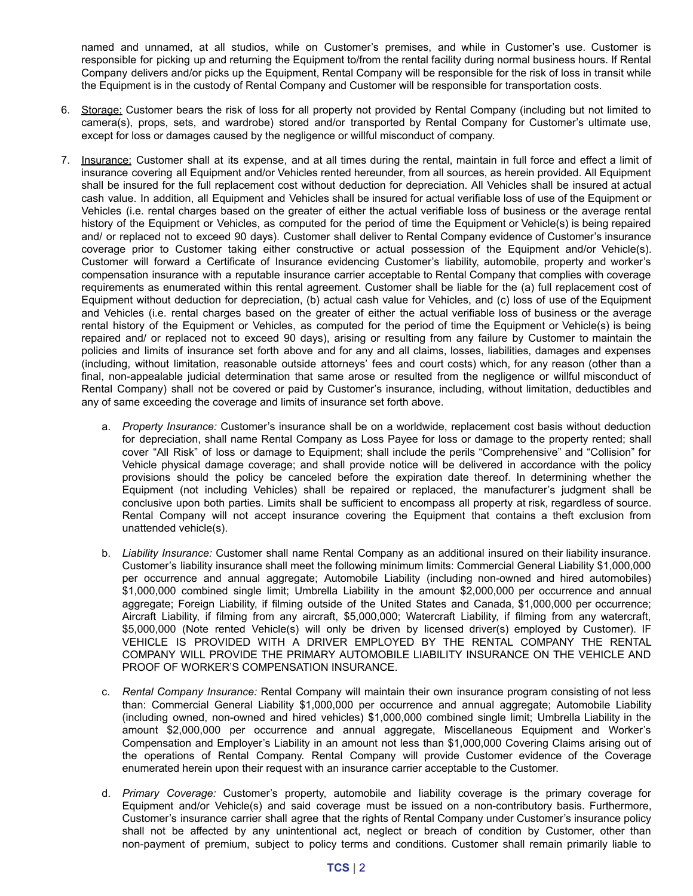named and unnamed, at all studios, while on Customer's premises, and while in Customer's use. Customer is responsible for picking up and returning the Equipment to/from the rental facility during normal business hours. If Rental Company delivers and/or picks up the Equipment, Rental Company will be responsible for the risk of loss in transit while the Equipment is in the custody of Rental Company and Customer will be responsible for transportation costs.

- 6. Storage: Customer bears the risk of loss for all property not provided by Rental Company (including but not limited to camera(s), props, sets, and wardrobe) stored and/or transported by Rental Company for Customer's ultimate use, except for loss or damages caused by the negligence or willful misconduct of company.
- 7. Insurance: Customer shall at its expense, and at all times during the rental, maintain in full force and effect a limit of insurance covering all Equipment and/or Vehicles rented hereunder, from all sources, as herein provided. All Equipment shall be insured for the full replacement cost without deduction for depreciation. All Vehicles shall be insured at actual cash value. In addition, all Equipment and Vehicles shall be insured for actual verifiable loss of use of the Equipment or Vehicles (i.e. rental charges based on the greater of either the actual verifiable loss of business or the average rental history of the Equipment or Vehicles, as computed for the period of time the Equipment or Vehicle(s) is being repaired and/ or replaced not to exceed 90 days). Customer shall deliver to Rental Company evidence of Customer's insurance coverage prior to Customer taking either constructive or actual possession of the Equipment and/or Vehicle(s). Customer will forward a Certificate of Insurance evidencing Customer's liability, automobile, property and worker's compensation insurance with a reputable insurance carrier acceptable to Rental Company that complies with coverage requirements as enumerated within this rental agreement. Customer shall be liable for the (a) full replacement cost of Equipment without deduction for depreciation, (b) actual cash value for Vehicles, and (c) loss of use of the Equipment and Vehicles (i.e. rental charges based on the greater of either the actual verifiable loss of business or the average rental history of the Equipment or Vehicles, as computed for the period of time the Equipment or Vehicle(s) is being repaired and/ or replaced not to exceed 90 days), arising or resulting from any failure by Customer to maintain the policies and limits of insurance set forth above and for any and all claims, losses, liabilities, damages and expenses (including, without limitation, reasonable outside attorneys' fees and court costs) which, for any reason (other than a final, non-appealable judicial determination that same arose or resulted from the negligence or willful misconduct of Rental Company) shall not be covered or paid by Customer's insurance, including, without limitation, deductibles and any of same exceeding the coverage and limits of insurance set forth above.
	- a. *Property Insurance:* Customer's insurance shall be on a worldwide, replacement cost basis without deduction for depreciation, shall name Rental Company as Loss Payee for loss or damage to the property rented; shall cover "All Risk" of loss or damage to Equipment; shall include the perils "Comprehensive" and "Collision" for Vehicle physical damage coverage; and shall provide notice will be delivered in accordance with the policy provisions should the policy be canceled before the expiration date thereof. In determining whether the Equipment (not including Vehicles) shall be repaired or replaced, the manufacturer's judgment shall be conclusive upon both parties. Limits shall be sufficient to encompass all property at risk, regardless of source. Rental Company will not accept insurance covering the Equipment that contains a theft exclusion from unattended vehicle(s).
	- b. *Liability Insurance:* Customer shall name Rental Company as an additional insured on their liability insurance. Customer's liability insurance shall meet the following minimum limits: Commercial General Liability \$1,000,000 per occurrence and annual aggregate; Automobile Liability (including non-owned and hired automobiles) \$1,000,000 combined single limit; Umbrella Liability in the amount \$2,000,000 per occurrence and annual aggregate; Foreign Liability, if filming outside of the United States and Canada, \$1,000,000 per occurrence; Aircraft Liability, if filming from any aircraft, \$5,000,000; Watercraft Liability, if filming from any watercraft, \$5,000,000 (Note rented Vehicle(s) will only be driven by licensed driver(s) employed by Customer). IF VEHICLE IS PROVIDED WITH A DRIVER EMPLOYED BY THE RENTAL COMPANY THE RENTAL COMPANY WILL PROVIDE THE PRIMARY AUTOMOBILE LIABILITY INSURANCE ON THE VEHICLE AND PROOF OF WORKER'S COMPENSATION INSURANCE.
	- c. *Rental Company Insurance:* Rental Company will maintain their own insurance program consisting of not less than: Commercial General Liability \$1,000,000 per occurrence and annual aggregate; Automobile Liability (including owned, non-owned and hired vehicles) \$1,000,000 combined single limit; Umbrella Liability in the amount \$2,000,000 per occurrence and annual aggregate, Miscellaneous Equipment and Worker's Compensation and Employer's Liability in an amount not less than \$1,000,000 Covering Claims arising out of the operations of Rental Company. Rental Company will provide Customer evidence of the Coverage enumerated herein upon their request with an insurance carrier acceptable to the Customer.
	- d. *Primary Coverage:* Customer's property, automobile and liability coverage is the primary coverage for Equipment and/or Vehicle(s) and said coverage must be issued on a non-contributory basis. Furthermore, Customer's insurance carrier shall agree that the rights of Rental Company under Customer's insurance policy shall not be affected by any unintentional act, neglect or breach of condition by Customer, other than non-payment of premium, subject to policy terms and conditions. Customer shall remain primarily liable to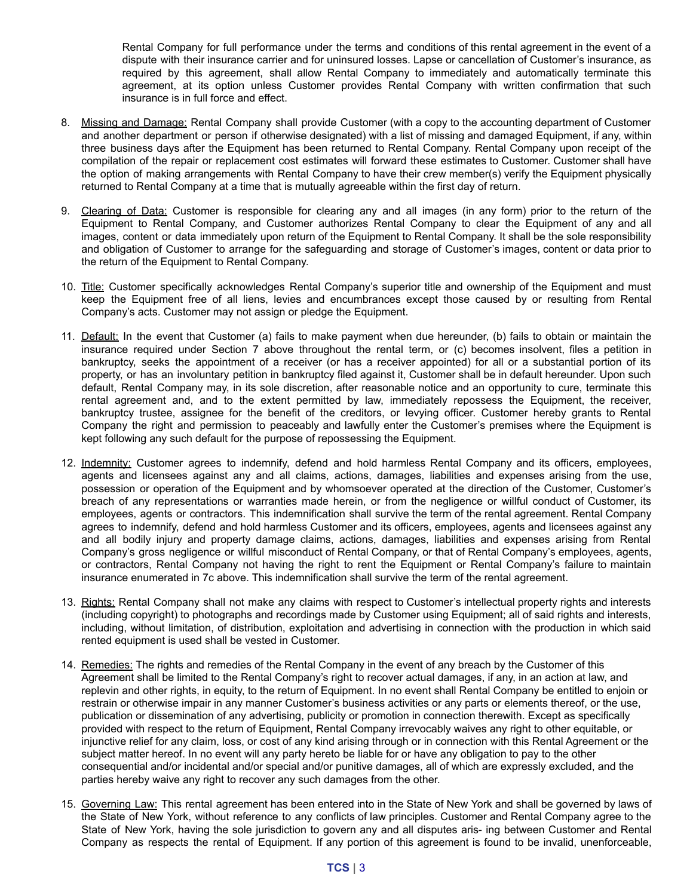Rental Company for full performance under the terms and conditions of this rental agreement in the event of a dispute with their insurance carrier and for uninsured losses. Lapse or cancellation of Customer's insurance, as required by this agreement, shall allow Rental Company to immediately and automatically terminate this agreement, at its option unless Customer provides Rental Company with written confirmation that such insurance is in full force and effect.

- 8. Missing and Damage: Rental Company shall provide Customer (with a copy to the accounting department of Customer and another department or person if otherwise designated) with a list of missing and damaged Equipment, if any, within three business days after the Equipment has been returned to Rental Company. Rental Company upon receipt of the compilation of the repair or replacement cost estimates will forward these estimates to Customer. Customer shall have the option of making arrangements with Rental Company to have their crew member(s) verify the Equipment physically returned to Rental Company at a time that is mutually agreeable within the first day of return.
- 9. Clearing of Data: Customer is responsible for clearing any and all images (in any form) prior to the return of the Equipment to Rental Company, and Customer authorizes Rental Company to clear the Equipment of any and all images, content or data immediately upon return of the Equipment to Rental Company. It shall be the sole responsibility and obligation of Customer to arrange for the safeguarding and storage of Customer's images, content or data prior to the return of the Equipment to Rental Company.
- 10. Title: Customer specifically acknowledges Rental Company's superior title and ownership of the Equipment and must keep the Equipment free of all liens, levies and encumbrances except those caused by or resulting from Rental Company's acts. Customer may not assign or pledge the Equipment.
- 11. Default: In the event that Customer (a) fails to make payment when due hereunder, (b) fails to obtain or maintain the insurance required under Section 7 above throughout the rental term, or (c) becomes insolvent, files a petition in bankruptcy, seeks the appointment of a receiver (or has a receiver appointed) for all or a substantial portion of its property, or has an involuntary petition in bankruptcy filed against it, Customer shall be in default hereunder. Upon such default, Rental Company may, in its sole discretion, after reasonable notice and an opportunity to cure, terminate this rental agreement and, and to the extent permitted by law, immediately repossess the Equipment, the receiver, bankruptcy trustee, assignee for the benefit of the creditors, or levying officer. Customer hereby grants to Rental Company the right and permission to peaceably and lawfully enter the Customer's premises where the Equipment is kept following any such default for the purpose of repossessing the Equipment.
- 12. Indemnity: Customer agrees to indemnify, defend and hold harmless Rental Company and its officers, employees, agents and licensees against any and all claims, actions, damages, liabilities and expenses arising from the use, possession or operation of the Equipment and by whomsoever operated at the direction of the Customer, Customer's breach of any representations or warranties made herein, or from the negligence or willful conduct of Customer, its employees, agents or contractors. This indemnification shall survive the term of the rental agreement. Rental Company agrees to indemnify, defend and hold harmless Customer and its officers, employees, agents and licensees against any and all bodily injury and property damage claims, actions, damages, liabilities and expenses arising from Rental Company's gross negligence or willful misconduct of Rental Company, or that of Rental Company's employees, agents, or contractors, Rental Company not having the right to rent the Equipment or Rental Company's failure to maintain insurance enumerated in 7c above. This indemnification shall survive the term of the rental agreement.
- 13. Rights: Rental Company shall not make any claims with respect to Customer's intellectual property rights and interests (including copyright) to photographs and recordings made by Customer using Equipment; all of said rights and interests, including, without limitation, of distribution, exploitation and advertising in connection with the production in which said rented equipment is used shall be vested in Customer.
- 14. Remedies: The rights and remedies of the Rental Company in the event of any breach by the Customer of this Agreement shall be limited to the Rental Company's right to recover actual damages, if any, in an action at law, and replevin and other rights, in equity, to the return of Equipment. In no event shall Rental Company be entitled to enjoin or restrain or otherwise impair in any manner Customer's business activities or any parts or elements thereof, or the use, publication or dissemination of any advertising, publicity or promotion in connection therewith. Except as specifically provided with respect to the return of Equipment, Rental Company irrevocably waives any right to other equitable, or injunctive relief for any claim, loss, or cost of any kind arising through or in connection with this Rental Agreement or the subject matter hereof. In no event will any party hereto be liable for or have any obligation to pay to the other consequential and/or incidental and/or special and/or punitive damages, all of which are expressly excluded, and the parties hereby waive any right to recover any such damages from the other.
- 15. Governing Law: This rental agreement has been entered into in the State of New York and shall be governed by laws of the State of New York, without reference to any conflicts of law principles. Customer and Rental Company agree to the State of New York, having the sole jurisdiction to govern any and all disputes aris- ing between Customer and Rental Company as respects the rental of Equipment. If any portion of this agreement is found to be invalid, unenforceable,